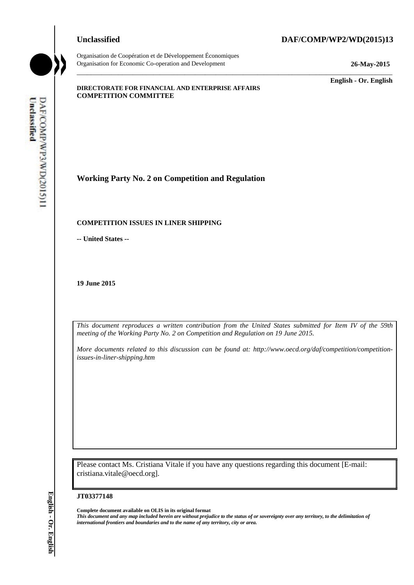## **Unclassified**

Organisation de Coopération et de Développement Économiques Organisation for Economic Co-operation and Development

#### **DAF/COMP/WP2/WD(2015)13**

\_\_\_\_\_\_\_\_\_\_\_\_\_\_\_\_\_\_\_\_\_\_\_\_\_\_\_\_\_\_\_\_\_

**Unclassified** 

DAF/COMPAWP3/WDC2015)11

**26-May-2015**

**English - Or. English**

#### **DIRECTORATE FOR FINANCIAL AND ENTERPRISE AFFAIRS COMPETITION COMMITTEE**

\_\_\_\_\_\_\_\_\_\_\_\_\_\_\_\_\_\_\_\_\_\_\_\_\_\_\_\_\_\_\_\_\_\_\_\_\_\_\_\_\_\_\_\_\_\_\_\_\_\_\_\_\_\_\_\_\_\_

**Working Party No. 2 on Competition and Regulation** 

#### **COMPETITION ISSUES IN LINER SHIPPING**

**-- United States --**

**19 June 2015**

*This document reproduces a written contribution from the United States submitted for Item IV of the 59th meeting of the Working Party No. 2 on Competition and Regulation on 19 June 2015.* 

*More documents related to this discussion can be found at: http://www.oecd.org/daf/competition/competitionissues-in-liner-shipping.htm* 

Please contact Ms. Cristiana Vitale if you have any questions regarding this document [E-mail: cristiana.vitale@oecd.org].

#### **JT03377148**

**Complete document available on OLIS in its original format** *This document and any map included herein are without prejudice to the status of or sovereignty over any territory, to the delimitation of international frontiers and boundaries and to the name of any territory, city or area.*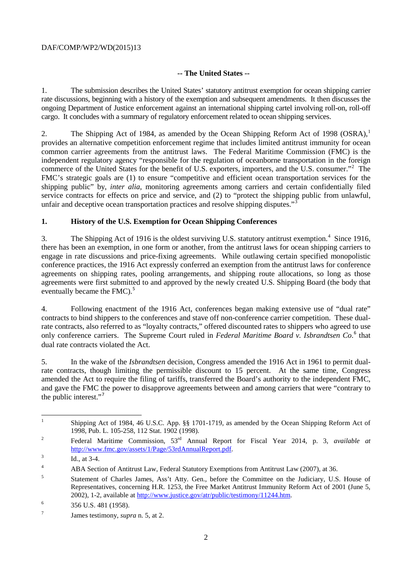### DAF/COMP/WP2/WD(2015)13

### **-- The United States --**

1. The submission describes the United States' statutory antitrust exemption for ocean shipping carrier rate discussions, beginning with a history of the exemption and subsequent amendments. It then discusses the ongoing Department of Justice enforcement against an international shipping cartel involving roll-on, roll-off cargo. It concludes with a summary of regulatory enforcement related to ocean shipping services.

2. The Shipping Act of [1](#page-1-0)984, as amended by the Ocean Shipping Reform Act of 1998 (OSRA),<sup>1</sup> provides an alternative competition enforcement regime that includes limited antitrust immunity for ocean common carrier agreements from the antitrust laws. The Federal Maritime Commission (FMC) is the independent regulatory agency "responsible for the regulation of oceanborne transportation in the foreign commerce of the United States for the benefit of U.S. exporters, importers, and the U.S. consumer."<sup>[2](#page-1-1)</sup> The FMC's strategic goals are (1) to ensure "competitive and efficient ocean transportation services for the shipping public" by, *inter alia*, monitoring agreements among carriers and certain confidentially filed service contracts for effects on price and service, and (2) to "protect the shipping public from unlawful, unfair and deceptive ocean transportation practices and resolve shipping disputes."

### **1. History of the U.S. Exemption for Ocean Shipping Conferences**

3. The Shipping Act of 1916 is the oldest surviving U.S. statutory antitrust exemption.<sup>[4](#page-1-3)</sup> Since 1916, there has been an exemption, in one form or another, from the antitrust laws for ocean shipping carriers to engage in rate discussions and price-fixing agreements. While outlawing certain specified monopolistic conference practices, the 1916 Act expressly conferred an exemption from the antitrust laws for conference agreements on shipping rates, pooling arrangements, and shipping route allocations, so long as those agreements were first submitted to and approved by the newly created U.S. Shipping Board (the body that eventually became the FMC).<sup>[5](#page-1-4)</sup>

4. Following enactment of the 1916 Act, conferences began making extensive use of "dual rate" contracts to bind shippers to the conferences and stave off non-conference carrier competition. These dualrate contracts, also referred to as "loyalty contracts," offered discounted rates to shippers who agreed to use only conference carriers. The Supreme Court ruled in *Federal Maritime Board v. Isbrandtsen Co*. [6](#page-1-5) that dual rate contracts violated the Act.

5. In the wake of the *Isbrandtsen* decision, Congress amended the 1916 Act in 1961 to permit dualrate contracts, though limiting the permissible discount to 15 percent. At the same time, Congress amended the Act to require the filing of tariffs, transferred the Board's authority to the independent FMC, and gave the FMC the power to disapprove agreements between and among carriers that were "contrary to the public interest."[7](#page-1-6)

<span id="page-1-0"></span><sup>|&</sup>lt;br>|<br>| Shipping Act of 1984, 46 U.S.C. App. §§ 1701-1719, as amended by the Ocean Shipping Reform Act of 1998, Pub. L. 105-258, 112 Stat. 1902 (1998).

<span id="page-1-1"></span><sup>2</sup> Federal Maritime Commission, 53rd Annual Report for Fiscal Year 2014, p. 3, *available at* http://www.fmc.gov/assets/1/Page/53rdAnnualReport.pdf.

<span id="page-1-2"></span>Id., at 3-4.

<span id="page-1-3"></span><sup>4</sup> ABA Section of Antitrust Law, Federal Statutory Exemptions from Antitrust Law (2007), at 36.

<span id="page-1-4"></span><sup>5</sup> Statement of Charles James, Ass't Atty. Gen., before the Committee on the Judiciary, U.S. House of Representatives, concerning H.R. 1253, the Free Market Antitrust Immunity Reform Act of 2001 (June 5, 2002), 1-2, available at  $\frac{http://www.justice.gov/atr/public/testimony/11244.htm.}{\text{255.}}$  $\frac{http://www.justice.gov/atr/public/testimony/11244.htm.}{\text{255.}}$  $\frac{http://www.justice.gov/atr/public/testimony/11244.htm.}{\text{255.}}$ 

<span id="page-1-5"></span> <sup>356</sup> U.S. 481 (1958).

<span id="page-1-6"></span><sup>7</sup> James testimony, *supra* n. 5, at 2.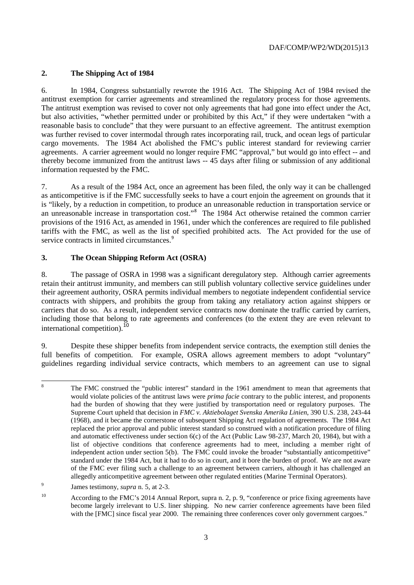# **2. The Shipping Act of 1984**

6. In 1984, Congress substantially rewrote the 1916 Act. The Shipping Act of 1984 revised the antitrust exemption for carrier agreements and streamlined the regulatory process for those agreements. The antitrust exemption was revised to cover not only agreements that had gone into effect under the Act, but also activities, "whether permitted under or prohibited by this Act," if they were undertaken "with a reasonable basis to conclude" that they were pursuant to an effective agreement. The antitrust exemption was further revised to cover intermodal through rates incorporating rail, truck, and ocean legs of particular cargo movements. The 1984 Act abolished the FMC's public interest standard for reviewing carrier agreements. A carrier agreement would no longer require FMC "approval," but would go into effect -- and thereby become immunized from the antitrust laws -- 45 days after filing or submission of any additional information requested by the FMC.

7. As a result of the 1984 Act, once an agreement has been filed, the only way it can be challenged as anticompetitive is if the FMC successfully seeks to have a court enjoin the agreement on grounds that it is "likely, by a reduction in competition, to produce an unreasonable reduction in transportation service or an unreasonable increase in transportation cost."<sup>[8](#page-2-0)</sup> The 1984 Act otherwise retained the common carrier provisions of the 1916 Act, as amended in 1961, under which the conferences are required to file published tariffs with the FMC, as well as the list of specified prohibited acts. The Act provided for the use of service contracts in limited circumstances.<sup>[9](#page-2-1)</sup>

## **3. The Ocean Shipping Reform Act (OSRA)**

8. The passage of OSRA in 1998 was a significant deregulatory step. Although carrier agreements retain their antitrust immunity, and members can still publish voluntary collective service guidelines under their agreement authority, OSRA permits individual members to negotiate independent confidential service contracts with shippers, and prohibits the group from taking any retaliatory action against shippers or carriers that do so. As a result, independent service contracts now dominate the traffic carried by carriers, including those that belong to rate agreements and conferences (to the extent they are even relevant to international competition).<sup>[10](#page-2-2)</sup>

9. Despite these shipper benefits from independent service contracts, the exemption still denies the full benefits of competition. For example, OSRA allows agreement members to adopt "voluntary" guidelines regarding individual service contracts, which members to an agreement can use to signal

<span id="page-2-0"></span> 8 The FMC construed the "public interest" standard in the 1961 amendment to mean that agreements that would violate policies of the antitrust laws were *prima facie* contrary to the public interest, and proponents had the burden of showing that they were justified by transportation need or regulatory purposes. The Supreme Court upheld that decision in *FMC v. Aktiebolaget Svenska Amerika Linien*, 390 U.S. 238, 243-44 (1968), and it became the cornerstone of subsequent Shipping Act regulation of agreements. The 1984 Act replaced the prior approval and public interest standard so construed with a notification procedure of filing and automatic effectiveness under section 6(c) of the Act (Public Law 98-237, March 20, 1984), but with a list of objective conditions that conference agreements had to meet, including a member right of independent action under section 5(b). The FMC could invoke the broader "substantially anticompetitive" standard under the 1984 Act, but it had to do so in court, and it bore the burden of proof. We are not aware of the FMC ever filing such a challenge to an agreement between carriers, although it has challenged an allegedly anticompetitive agreement between other regulated entities (Marine Terminal Operators).

<span id="page-2-1"></span> $\overline{9}$ James testimony, *supra* n. 5, at 2-3.

<span id="page-2-2"></span><sup>&</sup>lt;sup>10</sup> According to the FMC's 2014 Annual Report, supra n. 2, p. 9, "conference or price fixing agreements have become largely irrelevant to U.S. liner shipping. No new carrier conference agreements have been filed with the [FMC] since fiscal year 2000. The remaining three conferences cover only government cargoes."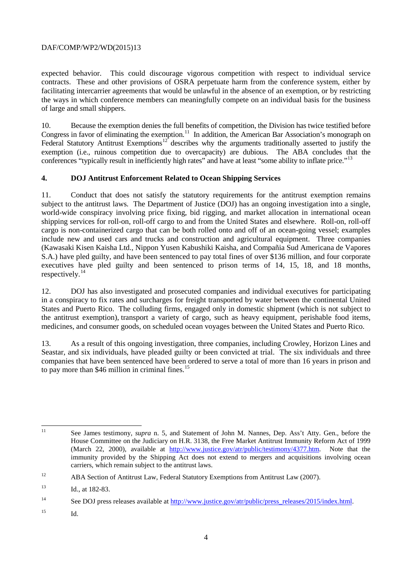## DAF/COMP/WP2/WD(2015)13

expected behavior. This could discourage vigorous competition with respect to individual service contracts. These and other provisions of OSRA perpetuate harm from the conference system, either by facilitating intercarrier agreements that would be unlawful in the absence of an exemption, or by restricting the ways in which conference members can meaningfully compete on an individual basis for the business of large and small shippers.

10. Because the exemption denies the full benefits of competition, the Division has twice testified before Congress in favor of eliminating the exemption.<sup>11</sup> In addition, the American Bar Association's monograph on Federal Statutory Antitrust Exemptions<sup>[12](#page-3-1)</sup> describes why the arguments traditionally asserted to justify the exemption (i.e., ruinous competition due to overcapacity) are dubious. The ABA concludes that the conferences "typically result in inefficiently high rates" and have at least "some ability to inflate price."<sup>[13](#page-3-2)</sup>

### **4. DOJ Antitrust Enforcement Related to Ocean Shipping Services**

11. Conduct that does not satisfy the statutory requirements for the antitrust exemption remains subject to the antitrust laws. The Department of Justice (DOJ) has an ongoing investigation into a single, world-wide conspiracy involving price fixing, bid rigging, and market allocation in international ocean shipping services for roll-on, roll-off cargo to and from the United States and elsewhere. Roll-on, roll-off cargo is non-containerized cargo that can be both rolled onto and off of an ocean-going vessel; examples include new and used cars and trucks and construction and agricultural equipment. Three companies (Kawasaki Kisen Kaisha Ltd., Nippon Yusen Kabushiki Kaisha, and Compañia Sud Americana de Vapores S.A.) have pled guilty, and have been sentenced to pay total fines of over \$136 million, and four corporate executives have pled guilty and been sentenced to prison terms of 14, 15, 18, and 18 months, respectively.[14](#page-3-3)

12. DOJ has also investigated and prosecuted companies and individual executives for participating in a conspiracy to fix rates and surcharges for freight transported by water between the continental United States and Puerto Rico. The colluding firms, engaged only in domestic shipment (which is not subject to the antitrust exemption), transport a variety of cargo, such as heavy equipment, perishable food items, medicines, and consumer goods, on scheduled ocean voyages between the United States and Puerto Rico.

13. As a result of this ongoing investigation, three companies, including Crowley, Horizon Lines and Seastar, and six individuals, have pleaded guilty or been convicted at trial. The six individuals and three companies that have been sentenced have been ordered to serve a total of more than 16 years in prison and to pay more than  $$46$  million in criminal fines.<sup>[15](#page-3-4)</sup>

<span id="page-3-4"></span>15 Id.

<span id="page-3-0"></span> $\overline{11}$ 11 See James testimony, *supra* n. 5, and Statement of John M. Nannes, Dep. Ass't Atty. Gen., before the House Committee on the Judiciary on H.R. 3138, the Free Market Antitrust Immunity Reform Act of 1999 (March 22, 2000), available at [http://www.justice.gov/atr/public/testimony/4377.htm.](http://www.justice.gov/archive/atr/public/testimony/4377.pdf) Note that the immunity provided by the Shipping Act does not extend to mergers and acquisitions involving ocean carriers, which remain subject to the antitrust laws.

<span id="page-3-1"></span><sup>&</sup>lt;sup>12</sup> ABA Section of Antitrust Law, Federal Statutory Exemptions from Antitrust Law (2007).

<span id="page-3-2"></span><sup>&</sup>lt;sup>13</sup> Id., at 182-83.

<span id="page-3-3"></span><sup>&</sup>lt;sup>14</sup> See DOJ press releases available at [http://www.justice.gov/atr/public/press\\_releases/2015/index.html.](http://www.justice.gov/atr/press-releases)